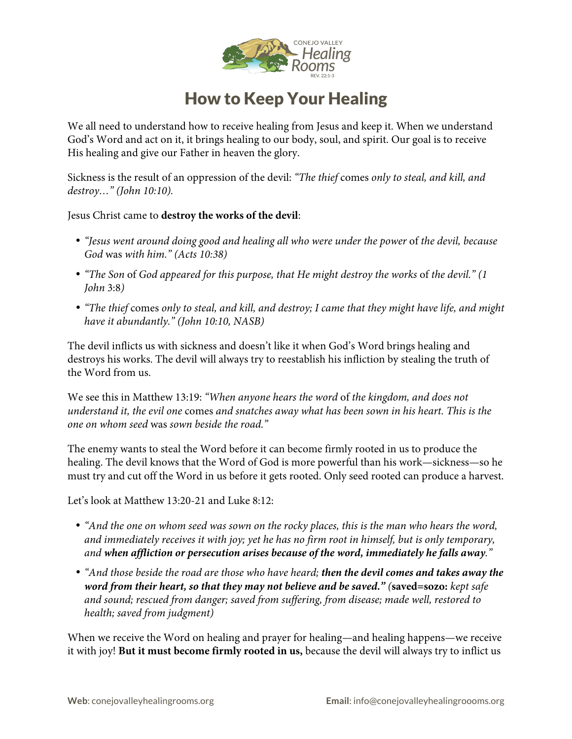

## How to Keep Your Healing

We all need to understand how to receive healing from Jesus and keep it. When we understand God's Word and act on it, it brings healing to our body, soul, and spirit. Our goal is to receive His healing and give our Father in heaven the glory.

Sickness is the result of an oppression of the devil: *"The thief* comes *only to steal, and kill, and destroy…" (John 10:10).*

Jesus Christ came to **destroy the works of the devil**:

- *"Jesus went around doing good and healing all who were under the power* of *the devil, because God* was *with him." (Acts 10:38)*
- "The Son of God appeared for this purpose, that He might destroy the works of the devil." (1 *John* 3:8*)*
- *"The thief* comes *only to steal, and kill, and destroy; I came that they might have life, and might have it abundantly." (John 10:10, NASB)*

The devil inflicts us with sickness and doesn't like it when God's Word brings healing and destroys his works. The devil will always try to reestablish his infliction by stealing the truth of the Word from us.

We see this in Matthew 13:19: *"When anyone hears the word* of *the kingdom, and does not understand it, the evil one* comes *and snatches away what has been sown in his heart. This is the one on whom seed* was *sown beside the road."*

The enemy wants to steal the Word before it can become firmly rooted in us to produce the healing. The devil knows that the Word of God is more powerful than his work—sickness—so he must try and cut off the Word in us before it gets rooted. Only seed rooted can produce a harvest.

Let's look at Matthew 13:20-21 and Luke 8:12:

- *"And the one on whom seed was sown on the rocky places, this is the man who hears the word, and immediately receives it with joy; yet he has no firm root in himself, but is only temporary, and when affliction or persecution arises because of the word, immediately he falls away."*
- *"And those beside the road are those who have heard; then the devil comes and takes away the word from their heart, so that they may not believe and be saved." (***saved=sozo:** *kept safe and sound; rescued from danger; saved from suffering, from disease; made well, restored to health; saved from judgment)*

When we receive the Word on healing and prayer for healing—and healing happens—we receive it with joy! **But it must become firmly rooted in us,** because the devil will always try to inflict us